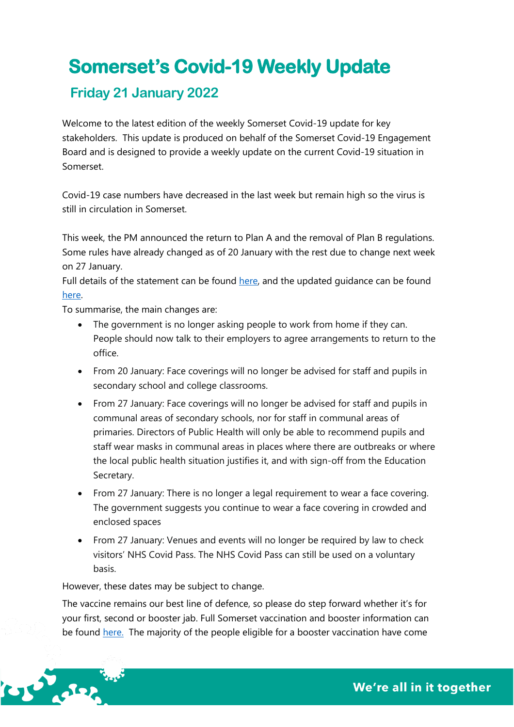# **Somerset's Covid-19 Weekly Update**

# **Friday 21 January 2022**

Welcome to the latest edition of the weekly Somerset Covid-19 update for key stakeholders. This update is produced on behalf of the Somerset Covid-19 Engagement Board and is designed to provide a weekly update on the current Covid-19 situation in Somerset.

Covid-19 case numbers have decreased in the last week but remain high so the virus is still in circulation in Somerset.

This week, the PM announced the return to Plan A and the removal of Plan B regulations. Some rules have already changed as of 20 January with the rest due to change next week on 27 January.

Full details of the statement can be found [here,](https://www.gov.uk/government/speeches/pm-statement-to-the-house-of-commons-on-covid-19-19-january-2022) and the updated guidance can be found [here.](https://www.gov.uk/guidance/covid-19-coronavirus-restrictions-what-you-can-and-cannot-do?priority-taxon=774cee22-d896-44c1-a611-e3109cce8eae)

To summarise, the main changes are:

- The government is no longer asking people to work from home if they can. People should now talk to their employers to agree arrangements to return to the office.
- From 20 January: Face coverings will no longer be advised for staff and pupils in secondary school and college classrooms.
- From 27 January: Face coverings will no longer be advised for staff and pupils in communal areas of secondary schools, nor for staff in communal areas of primaries. Directors of Public Health will only be able to recommend pupils and staff wear masks in communal areas in places where there are outbreaks or where the local public health situation justifies it, and with sign-off from the Education Secretary.
- From 27 January: There is no longer a legal requirement to wear a face covering. The government suggests you continue to wear a face covering in crowded and enclosed spaces
- From 27 January: Venues and events will no longer be required by law to check visitors' NHS Covid Pass. The NHS Covid Pass can still be used on a voluntary basis.

# However, these dates may be subject to change.

The vaccine remains our best line of defence, so please do step forward whether it's for your first, second or booster jab. Full Somerset vaccination and booster information can be found [here.](https://www.somersetccg.nhs.uk/health/local-services/health-services-during-coronavirus/covid-19-vaccinations-in-somerset/) The majority of the people eligible for a booster vaccination have come

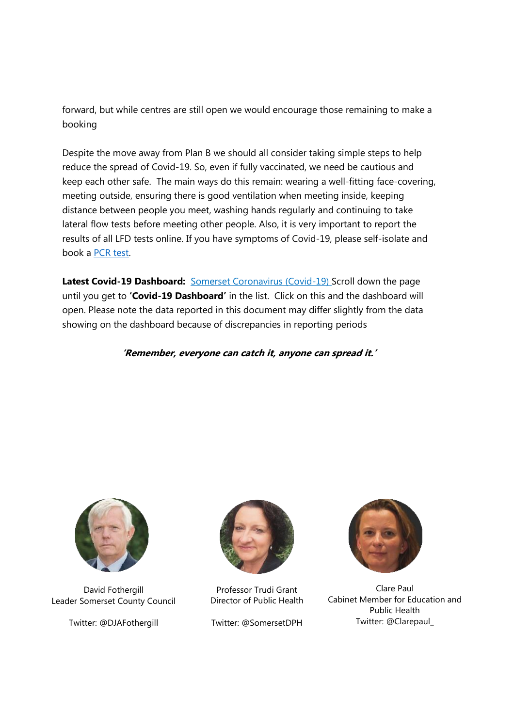forward, but while centres are still open we would encourage those remaining to make a booking

Despite the move away from Plan B we should all consider taking simple steps to help reduce the spread of Covid-19. So, even if fully vaccinated, we need be cautious and keep each other safe. The main ways do this remain: wearing a well-fitting face-covering, meeting outside, ensuring there is good ventilation when meeting inside, keeping distance between people you meet, washing hands regularly and continuing to take lateral flow tests before meeting other people. Also, it is very important to report the results of all LFD tests online. If you have symptoms of Covid-19, please self-isolate and book a [PCR test.](https://www.somerset.gov.uk/coronavirus/coronavirus-testing/)

Latest Covid-19 Dashboard: **Somerset Coronavirus (Covid-19)** Scroll down the page until you get to **'Covid-19 Dashboard'** in the list. Click on this and the dashboard will open. Please note the data reported in this document may differ slightly from the data showing on the dashboard because of discrepancies in reporting periods

**'Remember, everyone can catch it, anyone can spread it.'**



David Fothergill Leader Somerset County Council

Twitter: @DJAFothergill



Professor Trudi Grant Director of Public Health

Twitter: @SomersetDPH



Clare Paul Cabinet Member for Education and Public Health Twitter: @Clarepaul\_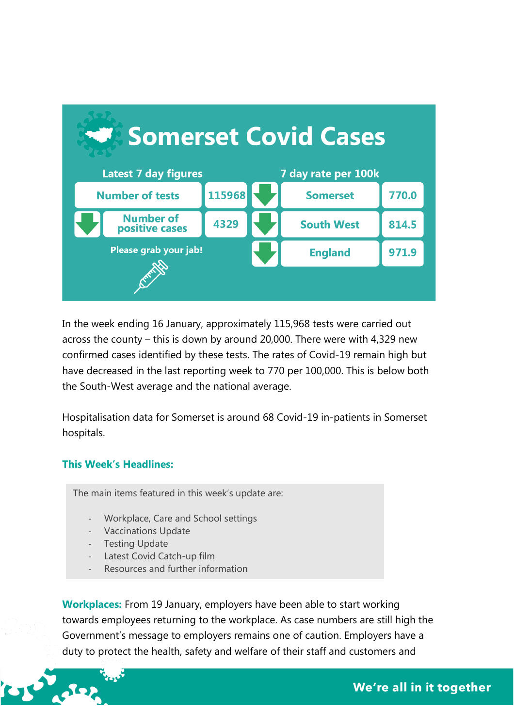

In the week ending 16 January, approximately 115,968 tests were carried out across the county – this is down by around 20,000. There were with 4,329 new confirmed cases identified by these tests. The rates of Covid-19 remain high but have decreased in the last reporting week to 770 per 100,000. This is below both the South-West average and the national average.

Hospitalisation data for Somerset is around 68 Covid-19 in-patients in Somerset hospitals.

#### **This Week's Headlines:**

The main items featured in this week's update are:

- Workplace, Care and School settings
- Vaccinations Update
- Testing Update
- Latest Covid Catch-up film
- Resources and further information

**Workplaces:** From 19 January, employers have been able to start working towards employees returning to the workplace. As case numbers are still high the Government's message to employers remains one of caution. Employers have a duty to protect the health, safety and welfare of their staff and customers and

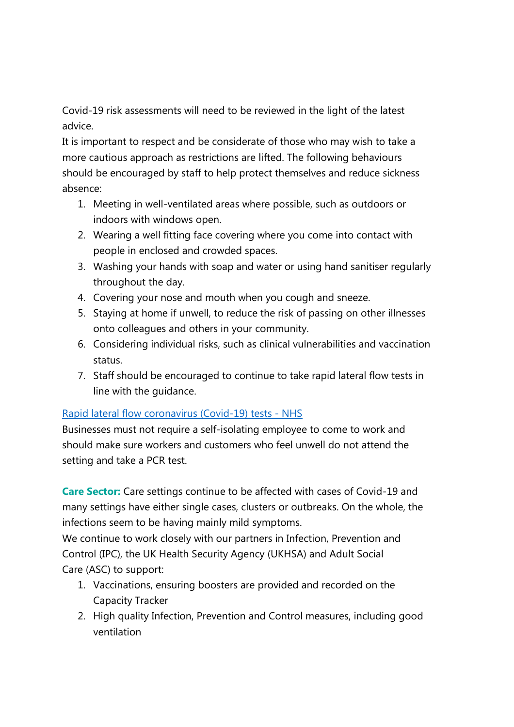Covid-19 risk assessments will need to be reviewed in the light of the latest advice.

It is important to respect and be considerate of those who may wish to take a more cautious approach as restrictions are lifted. The following behaviours should be encouraged by staff to help protect themselves and reduce sickness absence:

- 1. Meeting in well-ventilated areas where possible, such as outdoors or indoors with windows open.
- 2. Wearing a well fitting face covering where you come into contact with people in enclosed and crowded spaces.
- 3. Washing your hands with soap and water or using hand sanitiser regularly throughout the day.
- 4. Covering your nose and mouth when you cough and sneeze.
- 5. Staying at home if unwell, to reduce the risk of passing on other illnesses onto colleagues and others in your community.
- 6. Considering individual risks, such as clinical vulnerabilities and vaccination status.
- 7. Staff should be encouraged to continue to take rapid lateral flow tests in line with the guidance.

# [Rapid lateral flow coronavirus \(Covid-19\) tests -](https://www.nhs.uk/conditions/coronavirus-covid-19/testing/regular-rapid-coronavirus-tests-if-you-do-not-have-symptoms/) NHS

Businesses must not require a self-isolating employee to come to work and should make sure workers and customers who feel unwell do not attend the setting and take a PCR test.

**Care Sector:** Care settings continue to be affected with cases of Covid-19 and many settings have either single cases, clusters or outbreaks. On the whole, the infections seem to be having mainly mild symptoms.

We continue to work closely with our partners in Infection, Prevention and Control (IPC), the UK Health Security Agency (UKHSA) and Adult Social Care (ASC) to support:

- 1. Vaccinations, ensuring boosters are provided and recorded on the Capacity Tracker
- 2. High quality Infection, Prevention and Control measures, including good ventilation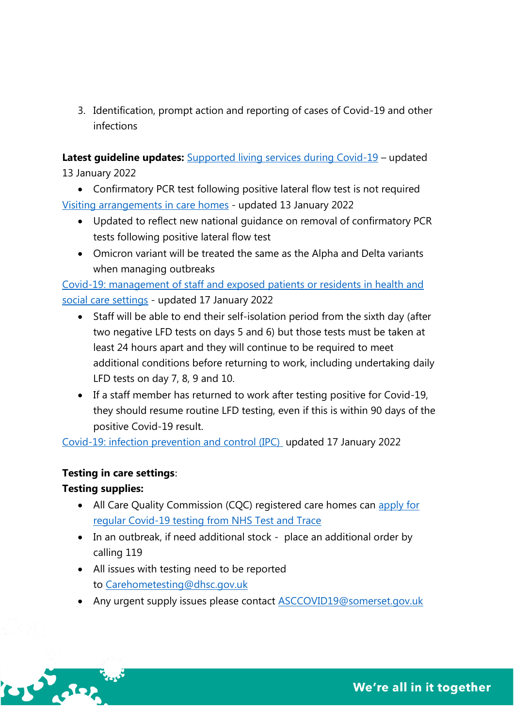3. Identification, prompt action and reporting of cases of Covid-19 and other infections

Latest guideline updates: **[Supported living services during Covid-19](https://www.gov.uk/government/publications/supported-living-services-during-coronavirus-covid-19?utm_medium=email&utm_campaign=govuk-notifications-topic&utm_source=9af4f72f-1443-44d2-9490-0305bf479a3d&utm_content=daily)** – updated 13 January 2022

• Confirmatory PCR test following positive lateral flow test is not required [Visiting arrangements in care homes](https://www.gov.uk/government/publications/visiting-care-homes-during-coronavirus?utm_medium=email&utm_campaign=govuk-notifications-topic&utm_source=7282d68d-44c5-4fba-94d8-f7e608610073&utm_content=daily) - updated 13 January 2022

- Updated to reflect new national guidance on removal of confirmatory PCR tests following positive lateral flow test
- Omicron variant will be treated the same as the Alpha and Delta variants when managing outbreaks

[Covid-19: management of staff and exposed patients or residents in health and](https://www.gov.uk/government/publications/covid-19-management-of-exposed-healthcare-workers-and-patients-in-hospital-settings/covid-19-management-of-exposed-healthcare-workers-and-patients-in-hospital-settings)  social care [settings](https://www.gov.uk/government/publications/covid-19-management-of-exposed-healthcare-workers-and-patients-in-hospital-settings/covid-19-management-of-exposed-healthcare-workers-and-patients-in-hospital-settings) - updated 17 January 2022

- Staff will be able to end their self-isolation period from the sixth day (after two negative LFD tests on days 5 and 6) but those tests must be taken at least 24 hours apart and they will continue to be required to meet additional conditions before returning to work, including undertaking daily LFD tests on day 7, 8, 9 and 10.
- If a staff member has returned to work after testing positive for Covid-19, they should resume routine LFD testing, even if this is within 90 days of the positive Covid-19 result.

[Covid-19: infection prevention and control \(IPC\)](http://COVID-19:%20infection%20prevention%20and%20control%20(IPC)%20-%20GOV.UK%20(www.gov.uk)) updated 17 January 2022

# **Testing in care settings**:

# **Testing supplies:**

**LUST CRASH** 

- All Care Quality Commission (CQC) registered care homes can [apply](https://eur01.safelinks.protection.outlook.com/?url=https%3A%2F%2Frequest-testing.test-for-coronavirus.service.gov.uk%2F&data=04%7C01%7CGHaslock%40somerset.gov.uk%7C23092719a54a4de97ea608d9db662a6f%7Cb524f606f77a4aa28da2fe70343b0cce%7C0%7C0%7C637782054105546694%7CUnknown%7CTWFpbGZsb3d8eyJWIjoiMC4wLjAwMDAiLCJQIjoiV2luMzIiLCJBTiI6Ik1haWwiLCJXVCI6Mn0%3D%7C3000&sdata=R9K5qZ7izeevLe8%2FS%2FV%2F4jjjpNOuEuHIcVeuZ2Eeyno%3D&reserved=0) for [regular Covid-19 testing from NHS Test and Trace](https://request-testing.test-for-coronavirus.service.gov.uk/)
- In an outbreak, if need additional stock place an additional order by calling 119
- All issues with testing need to be reported to [Carehometesting@dhsc.gov.uk](mailto:Carehometesting@dhsc.gov.uk)
- Any urgent supply issues please contact **ASCCOVID19@somerset.gov.uk**

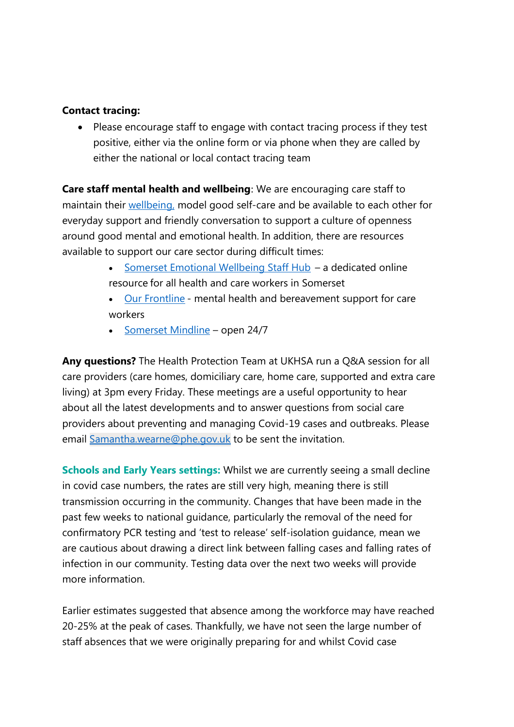### **Contact tracing:**

Please encourage staff to engage with contact tracing process if they test positive, either via the online form or via phone when they are called by either the national or local contact tracing team

**Care staff mental health and wellbeing**: We are encouraging care staff to maintain their [wellbeing,](https://www.somerset.gov.uk/social-care-and-health/mental-health-and-wellbeing/#Five-Ways-to-Wellbeing) model good self-care and be available to each other for everyday support and friendly conversation to support a culture of openness around good mental and emotional health. In addition, there are resources available to support our care sector during difficult times:

- [Somerset Emotional Wellbeing Staff Hub](https://somersetemotionalwellbeing.org/) a dedicated online resource for all health and care workers in Somerset
- [Our Frontline](https://www.mentalhealthatwork.org.uk/toolkit/ourfrontline-socialcare/?utm_campaign=Adult+Social+Care+Update+19.11.21&utm_content=dhsc-mail.co.uk&utm_medium=email&utm_source=Department+of+Health+and+Social+Care&link_index=6) mental health and bereavement support for care workers
- [Somerset Mindline](https://www.mindinsomerset.org.uk/our-services/adult-one-to-one-support/mindline/) open 24/7

**Any questions?** The Health Protection Team at UKHSA run a Q&A session for all care providers (care homes, domiciliary care, home care, supported and extra care living) at 3pm every Friday. These meetings are a useful opportunity to hear about all the latest developments and to answer questions from social care providers about preventing and managing Covid-19 cases and outbreaks. Please email [Samantha.wearne@phe.gov.uk](mailto:Samantha.wearne@phe.gov.uk) to be sent the invitation.

**Schools and Early Years settings:** Whilst we are currently seeing a small decline in covid case numbers, the rates are still very high, meaning there is still transmission occurring in the community. Changes that have been made in the past few weeks to national guidance, particularly the removal of the need for confirmatory PCR testing and 'test to release' self-isolation guidance, mean we are cautious about drawing a direct link between falling cases and falling rates of infection in our community. Testing data over the next two weeks will provide more information.

Earlier estimates suggested that absence among the workforce may have reached 20-25% at the peak of cases. Thankfully, we have not seen the large number of staff absences that we were originally preparing for and whilst Covid case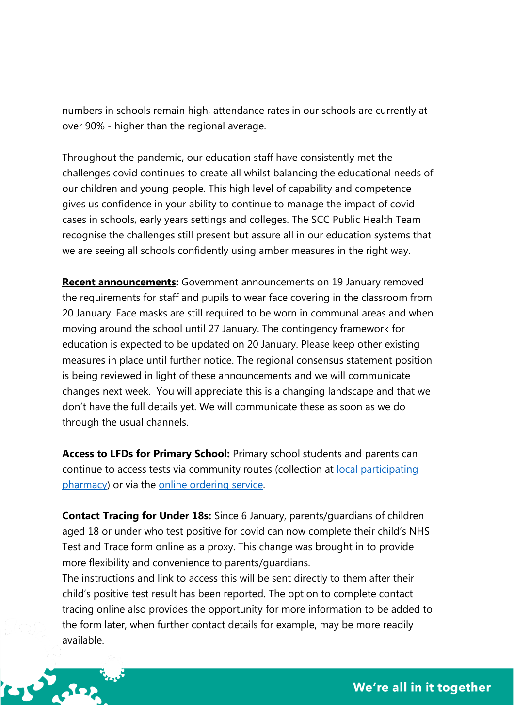numbers in schools remain high, attendance rates in our schools are currently at over 90% - higher than the regional average.

Throughout the pandemic, our education staff have consistently met the challenges covid continues to create all whilst balancing the educational needs of our children and young people. This high level of capability and competence gives us confidence in your ability to continue to manage the impact of covid cases in schools, early years settings and colleges. The SCC Public Health Team recognise the challenges still present but assure all in our education systems that we are seeing all schools confidently using amber measures in the right way.

**Recent announcements:** Government announcements on 19 January removed the requirements for staff and pupils to wear face covering in the classroom from 20 January. Face masks are still required to be worn in communal areas and when moving around the school until 27 January. The contingency framework for education is expected to be updated on 20 January. Please keep other existing measures in place until further notice. The regional consensus statement position is being reviewed in light of these announcements and we will communicate changes next week. You will appreciate this is a changing landscape and that we don't have the full details yet. We will communicate these as soon as we do through the usual channels.

**Access to LFDs for Primary School:** Primary school students and parents can continue to access tests via community routes (collection at [local participating](https://maps.test-and-trace.nhs.uk/)  [pharmacy\)](https://maps.test-and-trace.nhs.uk/) or via the [online ordering service.](https://www.nhs.uk/conditions/coronavirus-covid-19/testing/get-tested-for-coronavirus/)

**Contact Tracing for Under 18s:** Since 6 January, parents/guardians of children aged 18 or under who test positive for covid can now complete their child's NHS Test and Trace form online as a proxy. This change was brought in to provide more flexibility and convenience to parents/guardians.

The instructions and link to access this will be sent directly to them after their child's positive test result has been reported. The option to complete contact tracing online also provides the opportunity for more information to be added to the form later, when further contact details for example, may be more readily available.

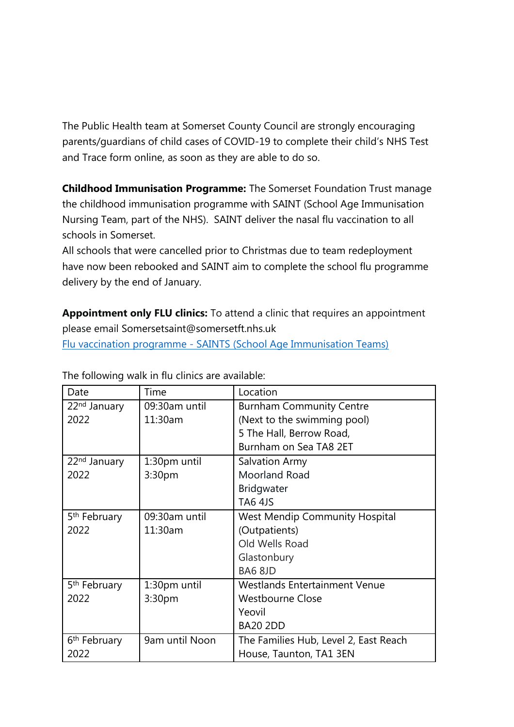The Public Health team at Somerset County Council are strongly encouraging parents/guardians of child cases of COVID-19 to complete their child's NHS Test and Trace form online, as soon as they are able to do so.

**Childhood Immunisation Programme:** The Somerset Foundation Trust manage the childhood immunisation programme with SAINT (School Age Immunisation Nursing Team, part of the NHS). SAINT deliver the nasal flu vaccination to all schools in Somerset.

All schools that were cancelled prior to Christmas due to team redeployment have now been rebooked and SAINT aim to complete the school flu programme delivery by the end of January.

**Appointment only FLU clinics:** To attend a clinic that requires an appointment please email [Somersetsaint@somersetft.nhs.uk](mailto:Somersetsaint@somersetft.nhs.uk)

Flu vaccination programme - [SAINTS \(School Age Immunisation Teams\)](https://www.somersetft.nhs.uk/saints-school-age-immunisation-team/somerset-school-aged-immunisation-nursing-team-saint/flu-vaccination-programme/)

| Date                     | Time           | Location                              |  |  |
|--------------------------|----------------|---------------------------------------|--|--|
| 22 <sup>nd</sup> January | 09:30am until  | <b>Burnham Community Centre</b>       |  |  |
| 2022                     | 11:30am        | (Next to the swimming pool)           |  |  |
|                          |                | 5 The Hall, Berrow Road,              |  |  |
|                          |                | Burnham on Sea TA8 2ET                |  |  |
| 22 <sup>nd</sup> January | 1:30pm until   | <b>Salvation Army</b>                 |  |  |
| 2022                     | 3:30pm         | Moorland Road                         |  |  |
|                          |                | Bridgwater                            |  |  |
|                          |                | <b>TA6 4JS</b>                        |  |  |
| 5 <sup>th</sup> February | 09:30am until  | <b>West Mendip Community Hospital</b> |  |  |
| 2022                     | 11:30am        | (Outpatients)                         |  |  |
|                          |                | Old Wells Road                        |  |  |
|                          |                | Glastonbury                           |  |  |
|                          |                | BA6 8JD                               |  |  |
| 5 <sup>th</sup> February | 1:30pm until   | <b>Westlands Entertainment Venue</b>  |  |  |
| 2022                     | 3:30pm         | <b>Westbourne Close</b>               |  |  |
|                          |                | Yeovil                                |  |  |
|                          |                | <b>BA20 2DD</b>                       |  |  |
| 6 <sup>th</sup> February | 9am until Noon | The Families Hub, Level 2, East Reach |  |  |
| 2022                     |                | House, Taunton, TA1 3EN               |  |  |

The following walk in flu clinics are available: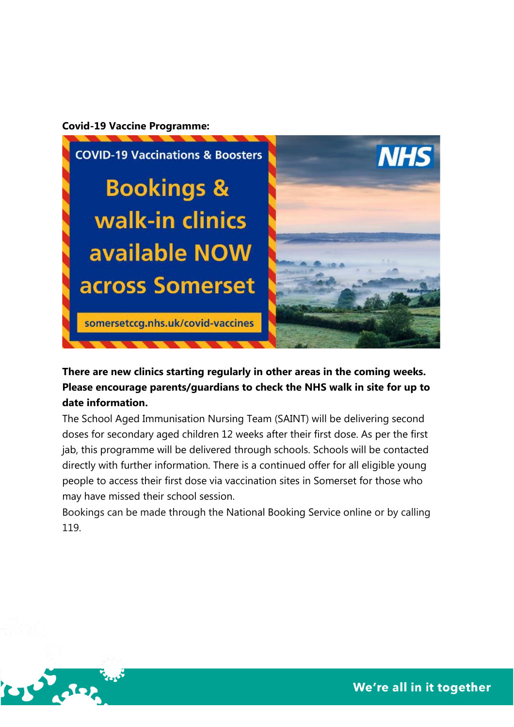#### **Covid-19 Vaccine Programme:**

 $C_1$   $C_2$   $C_3$ 



**There are new clinics starting regularly in other areas in the coming weeks. Please encourage parents/guardians to [check the NHS walk in site for up to](https://www.nhs.uk/conditions/coronavirus-covid-19/coronavirus-vaccination/find-a-walk-in-coronavirus-covid-19-vaccination-site/)  [date information.](https://www.nhs.uk/conditions/coronavirus-covid-19/coronavirus-vaccination/find-a-walk-in-coronavirus-covid-19-vaccination-site/)**

The School Aged Immunisation Nursing Team (SAINT) will be delivering second doses for secondary aged children 12 weeks after their first dose. As per the first jab, this programme will be delivered through schools. Schools will be contacted directly with further information. There is a continued offer for all eligible young people to access their first dose via vaccination sites in Somerset for those who may have missed their school session.

Bookings can be made through the [National Booking Service online](https://www.nhs.uk/conditions/coronavirus-covid-19/coronavirus-vaccination/book-coronavirus-vaccination/book-or-manage-a-1st-or-2nd-dose-of-the-coronavirus-covid-19-vaccination/) or by calling 119.

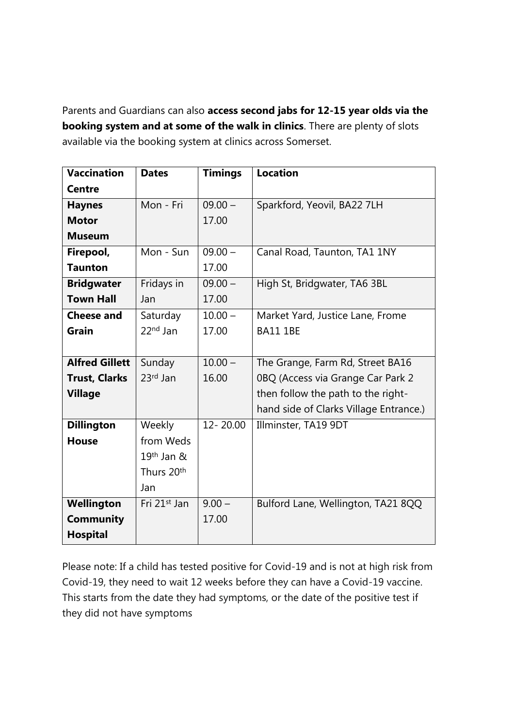Parents and Guardians can also **access second jabs for 12-15 year olds via the booking system and at some of the walk in clinics**. There are plenty of slots available via the booking system at clinics across Somerset.

| <b>Vaccination</b>    | <b>Dates</b>             | <b>Timings</b> | <b>Location</b>                        |
|-----------------------|--------------------------|----------------|----------------------------------------|
| <b>Centre</b>         |                          |                |                                        |
| <b>Haynes</b>         | Mon - Fri                | $09.00 -$      | Sparkford, Yeovil, BA22 7LH            |
| <b>Motor</b>          |                          | 17.00          |                                        |
| <b>Museum</b>         |                          |                |                                        |
| Firepool,             | Mon - Sun                | $09.00 -$      | Canal Road, Taunton, TA1 1NY           |
| <b>Taunton</b>        |                          | 17.00          |                                        |
| <b>Bridgwater</b>     | Fridays in               | $09.00 -$      | High St, Bridgwater, TA6 3BL           |
| <b>Town Hall</b>      | Jan                      | 17.00          |                                        |
| <b>Cheese and</b>     | Saturday                 | $10.00 -$      | Market Yard, Justice Lane, Frome       |
| Grain                 | $22nd$ Jan               | 17.00          | <b>BA11 1BE</b>                        |
|                       |                          |                |                                        |
| <b>Alfred Gillett</b> | Sunday                   | $10.00 -$      | The Grange, Farm Rd, Street BA16       |
| <b>Trust, Clarks</b>  | 23rd Jan                 | 16.00          | 0BQ (Access via Grange Car Park 2      |
| <b>Village</b>        |                          |                | then follow the path to the right-     |
|                       |                          |                | hand side of Clarks Village Entrance.) |
| <b>Dillington</b>     | Weekly                   | 12-20.00       | Illminster, TA19 9DT                   |
| <b>House</b>          | from Weds                |                |                                        |
|                       | 19th Jan &               |                |                                        |
|                       | Thurs 20th               |                |                                        |
|                       | Jan                      |                |                                        |
| Wellington            | Fri 21 <sup>st</sup> Jan | $9.00 -$       | Bulford Lane, Wellington, TA21 8QQ     |
| <b>Community</b>      |                          | 17.00          |                                        |
| <b>Hospital</b>       |                          |                |                                        |

Please note: If a child has tested positive for Covid-19 and is not at high risk from Covid-19, they need to wait 12 weeks before they can have a Covid-19 vaccine. This starts from the date they had symptoms, or the date of the positive test if they did not have symptoms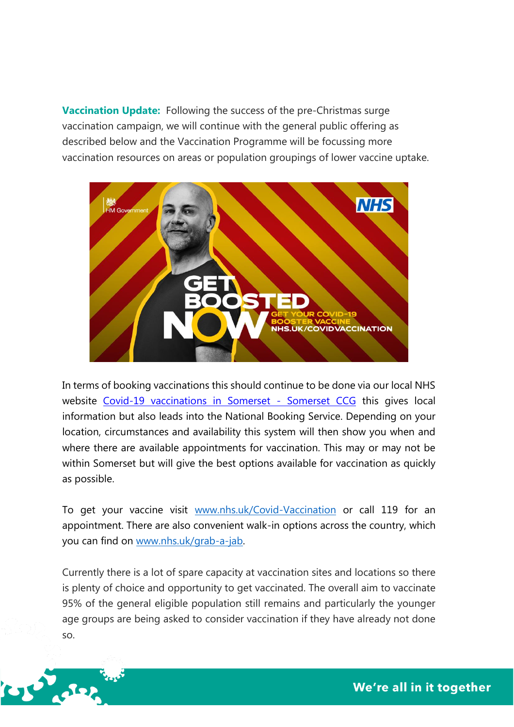**Vaccination Update:** Following the success of the pre-Christmas surge vaccination campaign, we will continue with the general public offering as described below and the Vaccination Programme will be focussing more vaccination resources on areas or population groupings of lower vaccine uptake.



In terms of booking vaccinations this should continue to be done via our local NHS website [Covid-19 vaccinations in Somerset -](https://www.somersetccg.nhs.uk/covid-vaccines/) Somerset CCG this gives local information but also leads into the National Booking Service. Depending on your location, circumstances and availability this system will then show you when and where there are available appointments for vaccination. This may or may not be within Somerset but will give the best options available for vaccination as quickly as possible.

To get your vaccine visit [www.nhs.uk/Covid-Vaccination](http://www.nhs.uk/Covid-Vaccination) or call 119 for an appointment. There are also convenient walk-in options across the country, which you can find on [www.nhs.uk/grab-a-jab.](http://www.nhs.uk/grab-a-jab)

Currently there is a lot of spare capacity at vaccination sites and locations so there is plenty of choice and opportunity to get vaccinated. The overall aim to vaccinate 95% of the general eligible population still remains and particularly the younger age groups are being asked to consider vaccination if they have already not done so.



We're all in it together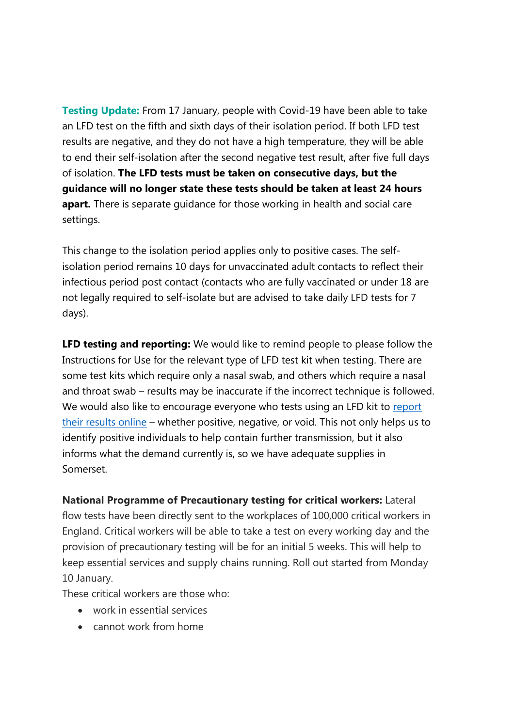**Testing Update:** From 17 January, people with Covid-19 have been able to take an LFD test on the fifth and sixth days of their isolation period. If both LFD test results are negative, and they do not have a high temperature, they will be able to end their self-isolation after the second negative test result, after five full days of isolation. **The LFD tests must be taken on consecutive days, but the guidance will no longer state these tests should be taken at least 24 hours apart.** There is separate guidance for those working in health and social care settings.

This change to the isolation period applies only to positive cases. The selfisolation period remains 10 days for unvaccinated adult contacts to reflect their infectious period post contact (contacts who are fully vaccinated or under 18 are not legally required to self-isolate but are advised to take daily LFD tests for 7 days).

**LFD testing and reporting:** We would like to remind people to please follow the Instructions for Use for the relevant type of LFD test kit when testing. There are some test kits which require only a nasal swab, and others which require a nasal and throat swab – results may be inaccurate if the incorrect technique is followed. We would also like to encourage everyone who tests using an LFD kit to report [their results online](https://www.gov.uk/report-covid19-result) – whether positive, negative, or void. This not only helps us to identify positive individuals to help contain further transmission, but it also informs what the demand currently is, so we have adequate supplies in Somerset.

**National Programme of Precautionary testing for critical workers:** Lateral flow tests have been directly sent to the workplaces of 100,000 critical workers in England. Critical workers will be able to take a test on every working day and the provision of precautionary testing will be for an initial 5 weeks. This will help to keep essential services and supply chains running. Roll out started from Monday 10 January.

These critical workers are those who:

- work in essential services
- cannot work from home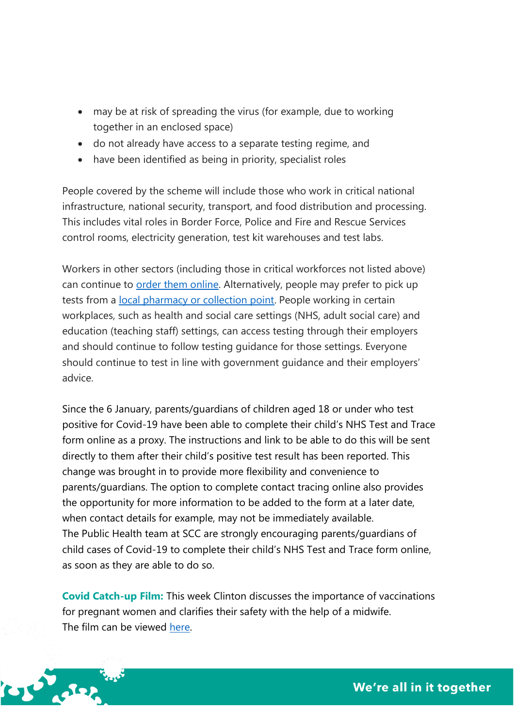- may be at risk of spreading the virus (for example, due to working together in an enclosed space)
- do not already have access to a separate testing regime, and
- have been identified as being in priority, specialist roles

People covered by the scheme will include those who work in critical national infrastructure, national security, transport, and food distribution and processing. This includes vital roles in Border Force, Police and Fire and Rescue Services control rooms, electricity generation, test kit warehouses and test labs.

Workers in other sectors (including those in critical workforces not listed above) can continue to [order them online.](https://www.gov.uk/order-coronavirus-rapid-lateral-flow-tests) Alternatively, people may prefer to pick up tests from a [local pharmacy or collection point.](https://maps.test-and-trace.nhs.uk/) People working in certain workplaces, such as health and social care settings (NHS, adult social care) and education (teaching staff) settings, can access testing through their employers and should continue to follow testing guidance for those settings. Everyone should continue to test in line with government guidance and their employers' advice.

Since the 6 January, parents/guardians of children aged 18 or under who test positive for Covid-19 have been able to complete their child's NHS Test and Trace form online as a proxy. The instructions and link to be able to do this will be sent directly to them after their child's positive test result has been reported. This change was brought in to provide more flexibility and convenience to parents/guardians. The option to complete contact tracing online also provides the opportunity for more information to be added to the form at a later date, when contact details for example, may not be immediately available. The Public Health team at SCC are strongly encouraging parents/guardians of child cases of Covid-19 to complete their child's NHS Test and Trace form online, as soon as they are able to do so.

**Covid Catch-up Film:** This week Clinton discusses the importance of vaccinations for pregnant women and clarifies their safety with the help of a midwife. The film can be viewed [here.](https://www.youtube.com/watch?v=7BD-NuOvgFI)